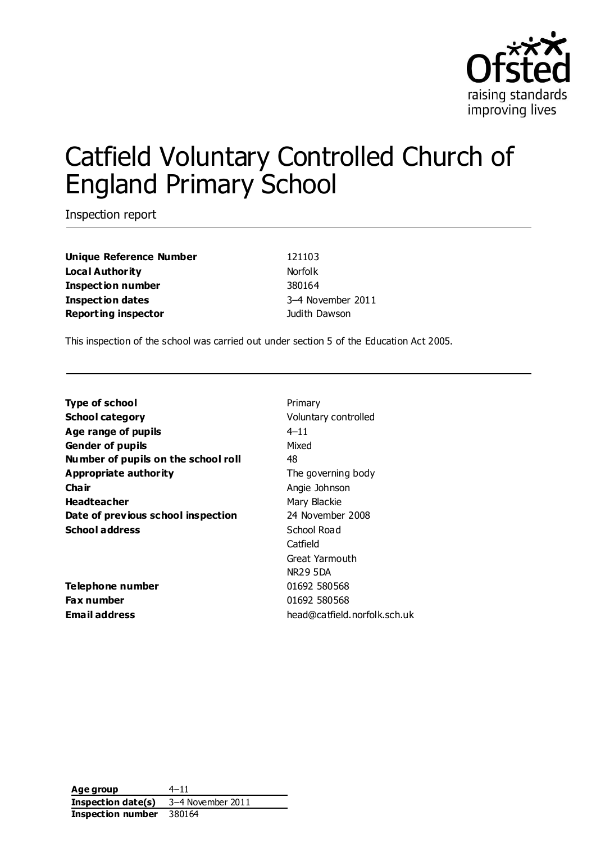

# Catfield Voluntary Controlled Church of England Primary School

Inspection report

**Unique Reference Number** 121103 **Local Authority Norfolk Inspection number** 380164 **Inspection dates** 3–4 November 2011 **Reporting inspector** and **Reporting inspector** and **Judith Dawson** 

This inspection of the school was carried out under section 5 of the Education Act 2005.

**Type of school** Primary **School category Voluntary controlled Age range of pupils** 4–11 **Gender of pupils** Mixed **Number of pupils on the school roll** 48 **Appropriate authority** The governing body **Chair** Angie Johnson Headteacher **Mary Blackie** Mary Blackie **Date of previous school inspection** 24 November 2008 **School address** School Road

**Telephone number** 01692 580568 **Fax number** 01692 580568

Catfield Great Yarmouth NR29 5DA **Email address** head@catfield.norfolk.sch.uk

**Age group** 4–11 **Inspection date(s)** 3–4 November 2011 **Inspection number** 380164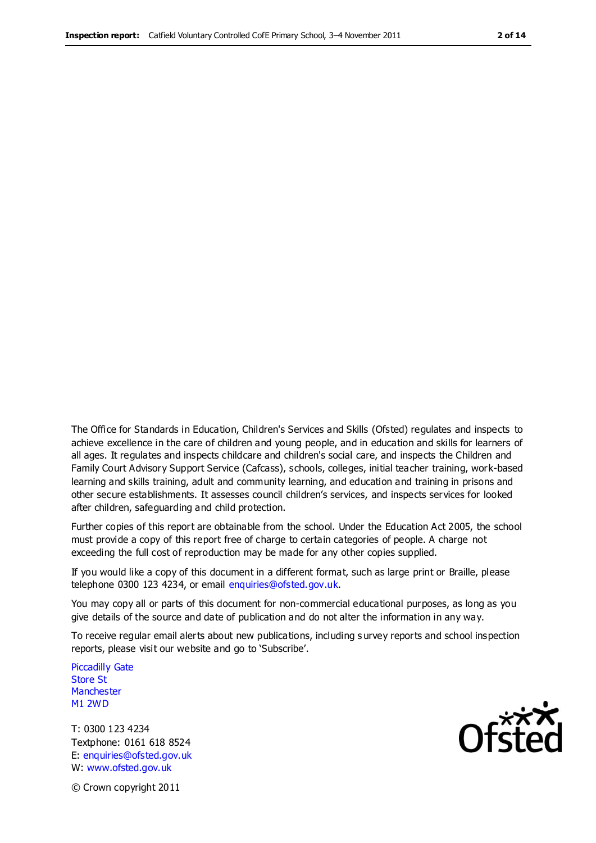The Office for Standards in Education, Children's Services and Skills (Ofsted) regulates and inspects to achieve excellence in the care of children and young people, and in education and skills for learners of all ages. It regulates and inspects childcare and children's social care, and inspects the Children and Family Court Advisory Support Service (Cafcass), schools, colleges, initial teacher training, work-based learning and skills training, adult and community learning, and education and training in prisons and other secure establishments. It assesses council children's services, and inspects services for looked after children, safeguarding and child protection.

Further copies of this report are obtainable from the school. Under the Education Act 2005, the school must provide a copy of this report free of charge to certain categories of people. A charge not exceeding the full cost of reproduction may be made for any other copies supplied.

If you would like a copy of this document in a different format, such as large print or Braille, please telephone 0300 123 4234, or email enquiries@ofsted.gov.uk.

You may copy all or parts of this document for non-commercial educational purposes, as long as you give details of the source and date of publication and do not alter the information in any way.

To receive regular email alerts about new publications, including s urvey reports and school inspection reports, please visit our website and go to 'Subscribe'.

Piccadilly Gate Store St **Manchester** M1 2WD

T: 0300 123 4234 Textphone: 0161 618 8524 E: enquiries@ofsted.gov.uk W: www.ofsted.gov.uk

Ofsted

© Crown copyright 2011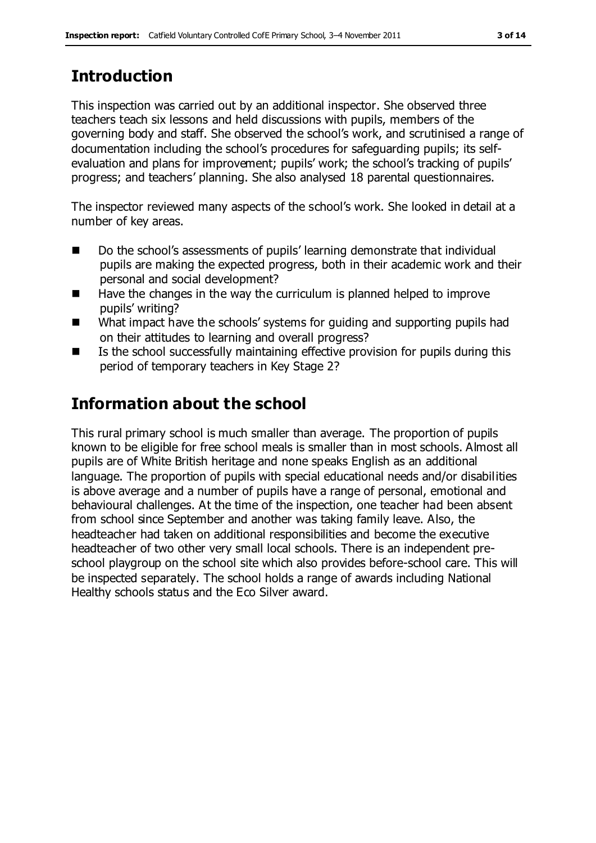### **Introduction**

This inspection was carried out by an additional inspector. She observed three teachers teach six lessons and held discussions with pupils, members of the governing body and staff. She observed the school's work, and scrutinised a range of documentation including the school's procedures for safeguarding pupils; its selfevaluation and plans for improvement; pupils' work; the school's tracking of pupils' progress; and teachers' planning. She also analysed 18 parental questionnaires.

The inspector reviewed many aspects of the school's work. She looked in detail at a number of key areas.

- Do the school's assessments of pupils' learning demonstrate that individual pupils are making the expected progress, both in their academic work and their personal and social development?
- $\blacksquare$  Have the changes in the way the curriculum is planned helped to improve pupils' writing?
- What impact have the schools' systems for guiding and supporting pupils had on their attitudes to learning and overall progress?
- Is the school successfully maintaining effective provision for pupils during this period of temporary teachers in Key Stage 2?

### **Information about the school**

This rural primary school is much smaller than average. The proportion of pupils known to be eligible for free school meals is smaller than in most schools. Almost all pupils are of White British heritage and none speaks English as an additional language. The proportion of pupils with special educational needs and/or disabilities is above average and a number of pupils have a range of personal, emotional and behavioural challenges. At the time of the inspection, one teacher had been absent from school since September and another was taking family leave. Also, the headteacher had taken on additional responsibilities and become the executive headteacher of two other very small local schools. There is an independent preschool playgroup on the school site which also provides before-school care. This will be inspected separately. The school holds a range of awards including National Healthy schools status and the Eco Silver award.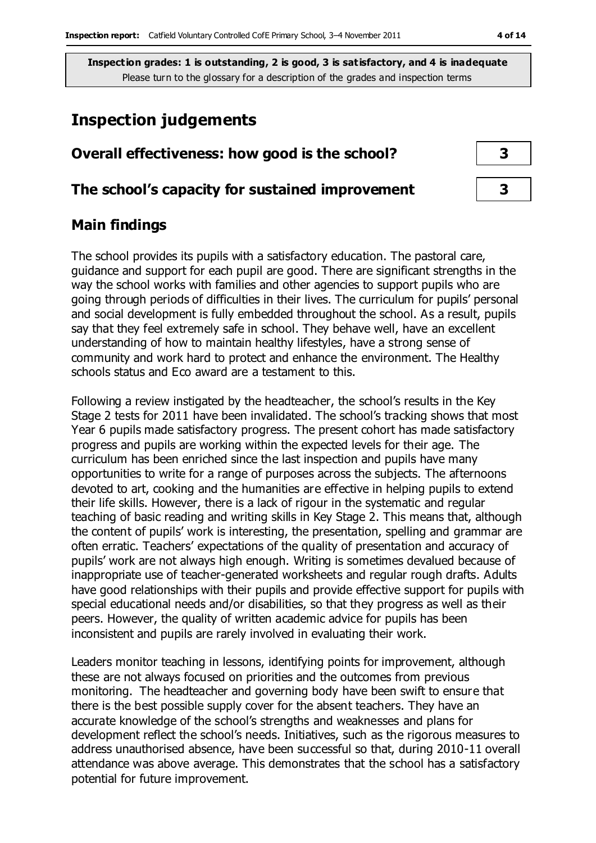### **Inspection judgements**

### **Overall effectiveness: how good is the school? 3**

#### **The school's capacity for sustained improvement 3**

### **Main findings**

The school provides its pupils with a satisfactory education. The pastoral care, guidance and support for each pupil are good. There are significant strengths in the way the school works with families and other agencies to support pupils who are going through periods of difficulties in their lives. The curriculum for pupils' personal and social development is fully embedded throughout the school. As a result, pupils say that they feel extremely safe in school. They behave well, have an excellent understanding of how to maintain healthy lifestyles, have a strong sense of community and work hard to protect and enhance the environment. The Healthy schools status and Eco award are a testament to this.

Following a review instigated by the headteacher, the school's results in the Key Stage 2 tests for 2011 have been invalidated. The school's tracking shows that most Year 6 pupils made satisfactory progress. The present cohort has made satisfactory progress and pupils are working within the expected levels for their age. The curriculum has been enriched since the last inspection and pupils have many opportunities to write for a range of purposes across the subjects. The afternoons devoted to art, cooking and the humanities are effective in helping pupils to extend their life skills. However, there is a lack of rigour in the systematic and regular teaching of basic reading and writing skills in Key Stage 2. This means that, although the content of pupils' work is interesting, the presentation, spelling and grammar are often erratic. Teachers' expectations of the quality of presentation and accuracy of pupils' work are not always high enough. Writing is sometimes devalued because of inappropriate use of teacher-generated worksheets and regular rough drafts. Adults have good relationships with their pupils and provide effective support for pupils with special educational needs and/or disabilities, so that they progress as well as their peers. However, the quality of written academic advice for pupils has been inconsistent and pupils are rarely involved in evaluating their work.

Leaders monitor teaching in lessons, identifying points for improvement, although these are not always focused on priorities and the outcomes from previous monitoring. The headteacher and governing body have been swift to ensure that there is the best possible supply cover for the absent teachers. They have an accurate knowledge of the school's strengths and weaknesses and plans for development reflect the school's needs. Initiatives, such as the rigorous measures to address unauthorised absence, have been successful so that, during 2010-11 overall attendance was above average. This demonstrates that the school has a satisfactory potential for future improvement.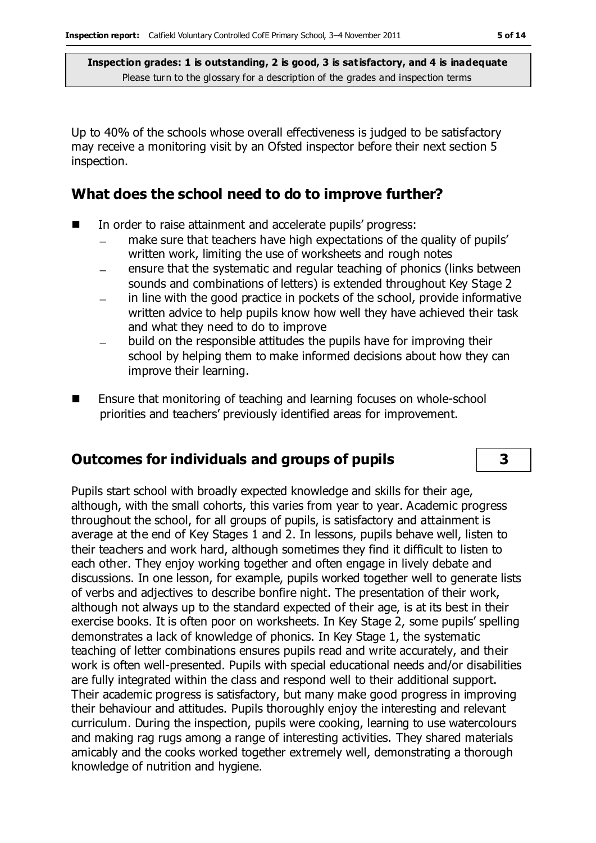Up to 40% of the schools whose overall effectiveness is judged to be satisfactory may receive a monitoring visit by an Ofsted inspector before their next section 5 inspection.

#### **What does the school need to do to improve further?**

- In order to raise attainment and accelerate pupils' progress:
	- make sure that teachers have high expectations of the quality of pupils' written work, limiting the use of worksheets and rough notes
	- ensure that the systematic and regular teaching of phonics (links between sounds and combinations of letters) is extended throughout Key Stage 2
	- in line with the good practice in pockets of the school, provide informative written advice to help pupils know how well they have achieved their task and what they need to do to improve
	- build on the responsible attitudes the pupils have for improving their school by helping them to make informed decisions about how they can improve their learning.
- Ensure that monitoring of teaching and learning focuses on whole-school priorities and teachers' previously identified areas for improvement.

#### **Outcomes for individuals and groups of pupils 3**

Pupils start school with broadly expected knowledge and skills for their age, although, with the small cohorts, this varies from year to year. Academic progress throughout the school, for all groups of pupils, is satisfactory and attainment is average at the end of Key Stages 1 and 2. In lessons, pupils behave well, listen to their teachers and work hard, although sometimes they find it difficult to listen to each other. They enjoy working together and often engage in lively debate and discussions. In one lesson, for example, pupils worked together well to generate lists of verbs and adjectives to describe bonfire night. The presentation of their work, although not always up to the standard expected of their age, is at its best in their exercise books. It is often poor on worksheets. In Key Stage 2, some pupils' spelling demonstrates a lack of knowledge of phonics. In Key Stage 1, the systematic teaching of letter combinations ensures pupils read and write accurately, and their work is often well-presented. Pupils with special educational needs and/or disabilities are fully integrated within the class and respond well to their additional support. Their academic progress is satisfactory, but many make good progress in improving their behaviour and attitudes. Pupils thoroughly enjoy the interesting and relevant curriculum. During the inspection, pupils were cooking, learning to use watercolours and making rag rugs among a range of interesting activities. They shared materials amicably and the cooks worked together extremely well, demonstrating a thorough knowledge of nutrition and hygiene.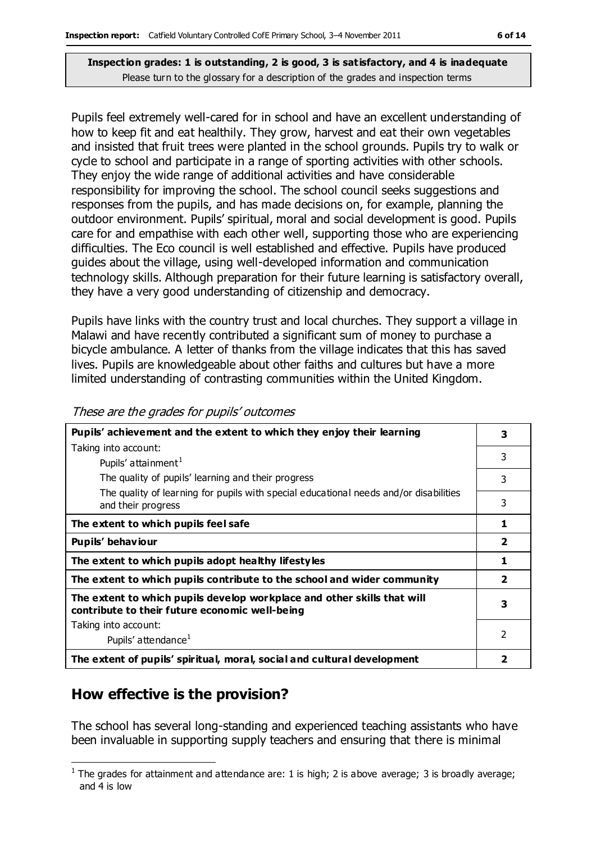Please turn to the glossary for a description of the grades and inspection terms

Pupils feel extremely well-cared for in school and have an excellent understanding of how to keep fit and eat healthily. They grow, harvest and eat their own vegetables and insisted that fruit trees were planted in the school grounds. Pupils try to walk or cycle to school and participate in a range of sporting activities with other schools. They enjoy the wide range of additional activities and have considerable responsibility for improving the school. The school council seeks suggestions and responses from the pupils, and has made decisions on, for example, planning the outdoor environment. Pupils' spiritual, moral and social development is good. Pupils care for and empathise with each other well, supporting those who are experiencing difficulties. The Eco council is well established and effective. Pupils have produced guides about the village, using well-developed information and communication technology skills. Although preparation for their future learning is satisfactory overall, they have a very good understanding of citizenship and democracy.

Pupils have links with the country trust and local churches. They support a village in Malawi and have recently contributed a significant sum of money to purchase a bicycle ambulance. A letter of thanks from the village indicates that this has saved lives. Pupils are knowledgeable about other faiths and cultures but have a more limited understanding of contrasting communities within the United Kingdom.

| Pupils' achievement and the extent to which they enjoy their learning                                                     |   |  |  |  |
|---------------------------------------------------------------------------------------------------------------------------|---|--|--|--|
| Taking into account:                                                                                                      |   |  |  |  |
| Pupils' attainment <sup>1</sup>                                                                                           | 3 |  |  |  |
| The quality of pupils' learning and their progress                                                                        | 3 |  |  |  |
| The quality of learning for pupils with special educational needs and/or disabilities<br>and their progress               | 3 |  |  |  |
| The extent to which pupils feel safe                                                                                      | 1 |  |  |  |
| Pupils' behaviour                                                                                                         |   |  |  |  |
| The extent to which pupils adopt healthy lifestyles                                                                       |   |  |  |  |
| The extent to which pupils contribute to the school and wider community                                                   |   |  |  |  |
| The extent to which pupils develop workplace and other skills that will<br>contribute to their future economic well-being |   |  |  |  |
| Taking into account:                                                                                                      |   |  |  |  |
| Pupils' attendance <sup>1</sup>                                                                                           | 2 |  |  |  |
| The extent of pupils' spiritual, moral, social and cultural development                                                   |   |  |  |  |

#### These are the grades for pupils' outcomes

### **How effective is the provision?**

The school has several long-standing and experienced teaching assistants who have been invaluable in supporting supply teachers and ensuring that there is minimal

 $\overline{a}$ <sup>1</sup> The grades for attainment and attendance are: 1 is high; 2 is above average; 3 is broadly average; and 4 is low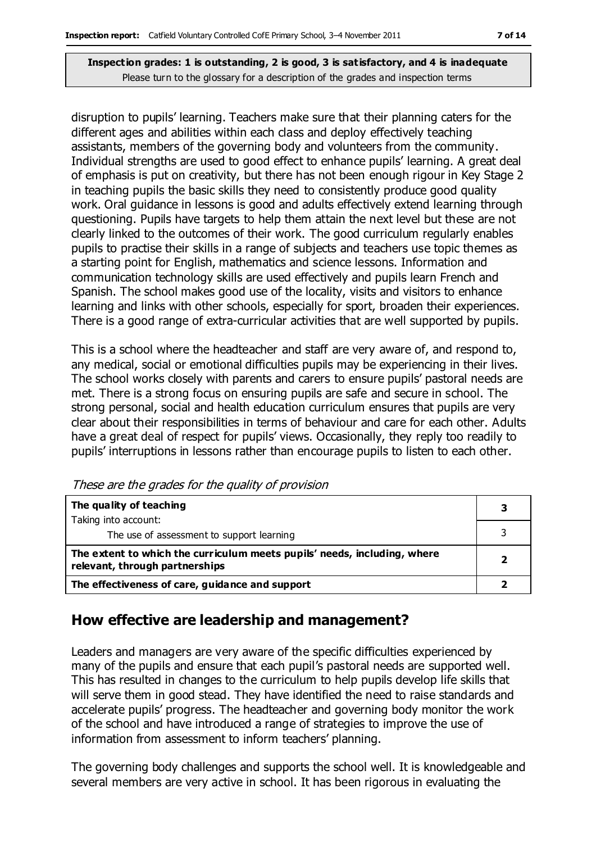disruption to pupils' learning. Teachers make sure that their planning caters for the different ages and abilities within each class and deploy effectively teaching assistants, members of the governing body and volunteers from the community. Individual strengths are used to good effect to enhance pupils' learning. A great deal of emphasis is put on creativity, but there has not been enough rigour in Key Stage 2 in teaching pupils the basic skills they need to consistently produce good quality work. Oral guidance in lessons is good and adults effectively extend learning through questioning. Pupils have targets to help them attain the next level but these are not clearly linked to the outcomes of their work. The good curriculum regularly enables pupils to practise their skills in a range of subjects and teachers use topic themes as a starting point for English, mathematics and science lessons. Information and communication technology skills are used effectively and pupils learn French and Spanish. The school makes good use of the locality, visits and visitors to enhance learning and links with other schools, especially for sport, broaden their experiences. There is a good range of extra-curricular activities that are well supported by pupils.

This is a school where the headteacher and staff are very aware of, and respond to, any medical, social or emotional difficulties pupils may be experiencing in their lives. The school works closely with parents and carers to ensure pupils' pastoral needs are met. There is a strong focus on ensuring pupils are safe and secure in school. The strong personal, social and health education curriculum ensures that pupils are very clear about their responsibilities in terms of behaviour and care for each other. Adults have a great deal of respect for pupils' views. Occasionally, they reply too readily to pupils' interruptions in lessons rather than encourage pupils to listen to each other.

| The quality of teaching                                                                                    |  |
|------------------------------------------------------------------------------------------------------------|--|
| Taking into account:                                                                                       |  |
| The use of assessment to support learning                                                                  |  |
| The extent to which the curriculum meets pupils' needs, including, where<br>relevant, through partnerships |  |
| The effectiveness of care, guidance and support                                                            |  |

These are the grades for the quality of provision

### **How effective are leadership and management?**

Leaders and managers are very aware of the specific difficulties experienced by many of the pupils and ensure that each pupil's pastoral needs are supported well. This has resulted in changes to the curriculum to help pupils develop life skills that will serve them in good stead. They have identified the need to raise standards and accelerate pupils' progress. The headteacher and governing body monitor the work of the school and have introduced a range of strategies to improve the use of information from assessment to inform teachers' planning.

The governing body challenges and supports the school well. It is knowledgeable and several members are very active in school. It has been rigorous in evaluating the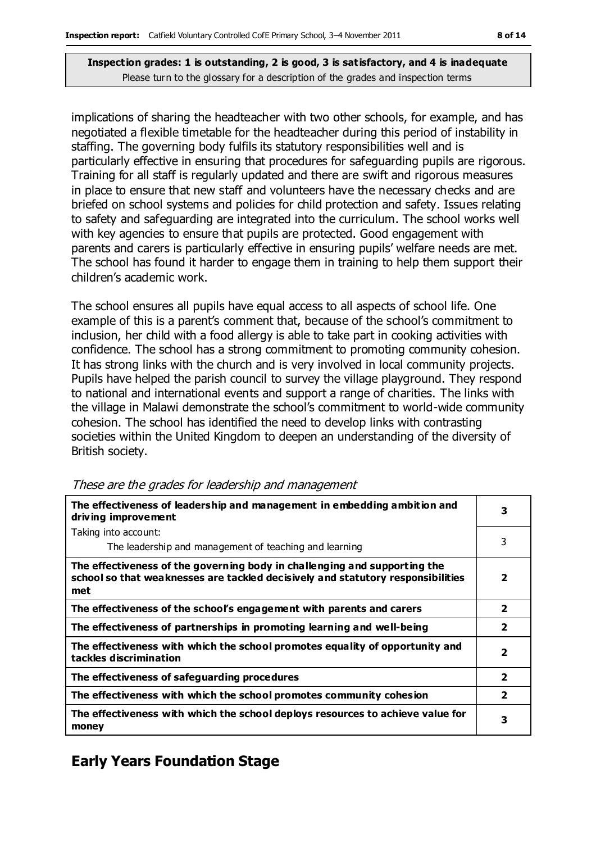implications of sharing the headteacher with two other schools, for example, and has negotiated a flexible timetable for the headteacher during this period of instability in staffing. The governing body fulfils its statutory responsibilities well and is particularly effective in ensuring that procedures for safeguarding pupils are rigorous. Training for all staff is regularly updated and there are swift and rigorous measures in place to ensure that new staff and volunteers have the necessary checks and are briefed on school systems and policies for child protection and safety. Issues relating to safety and safeguarding are integrated into the curriculum. The school works well with key agencies to ensure that pupils are protected. Good engagement with parents and carers is particularly effective in ensuring pupils' welfare needs are met. The school has found it harder to engage them in training to help them support their children's academic work.

The school ensures all pupils have equal access to all aspects of school life. One example of this is a parent's comment that, because of the school's commitment to inclusion, her child with a food allergy is able to take part in cooking activities with confidence. The school has a strong commitment to promoting community cohesion. It has strong links with the church and is very involved in local community projects. Pupils have helped the parish council to survey the village playground. They respond to national and international events and support a range of charities. The links with the village in Malawi demonstrate the school's commitment to world-wide community cohesion. The school has identified the need to develop links with contrasting societies within the United Kingdom to deepen an understanding of the diversity of British society.

| The effectiveness of leadership and management in embedding ambition and<br>driving improvement                                                                     |                         |  |
|---------------------------------------------------------------------------------------------------------------------------------------------------------------------|-------------------------|--|
| Taking into account:                                                                                                                                                |                         |  |
| The leadership and management of teaching and learning                                                                                                              | 3                       |  |
| The effectiveness of the governing body in challenging and supporting the<br>school so that weaknesses are tackled decisively and statutory responsibilities<br>met | $\overline{\mathbf{2}}$ |  |
| The effectiveness of the school's engagement with parents and carers                                                                                                | $\overline{\mathbf{2}}$ |  |
| The effectiveness of partnerships in promoting learning and well-being                                                                                              |                         |  |
| The effectiveness with which the school promotes equality of opportunity and<br>tackles discrimination                                                              |                         |  |
| The effectiveness of safeguarding procedures                                                                                                                        | $\overline{\mathbf{2}}$ |  |
| The effectiveness with which the school promotes community cohesion                                                                                                 |                         |  |
| The effectiveness with which the school deploys resources to achieve value for<br>money                                                                             | 3                       |  |

#### These are the grades for leadership and management

### **Early Years Foundation Stage**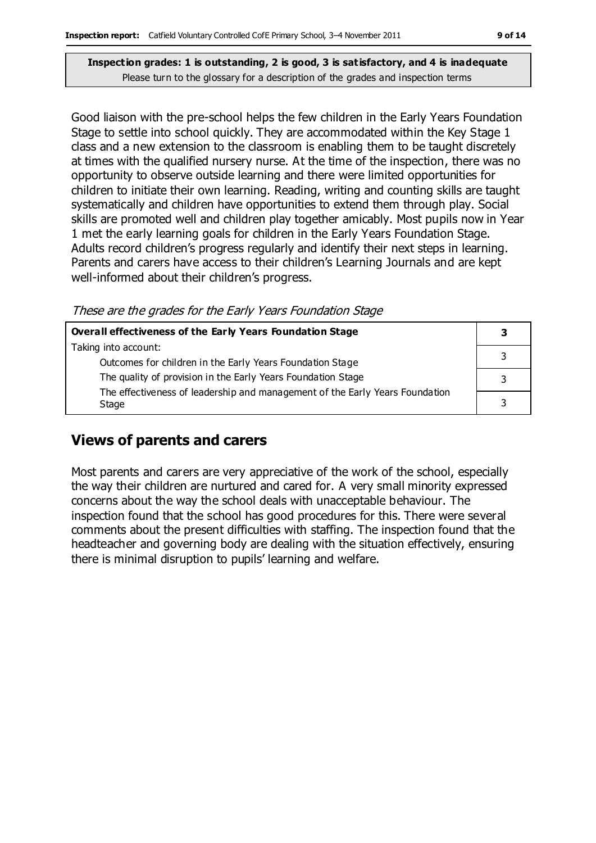Good liaison with the pre-school helps the few children in the Early Years Foundation Stage to settle into school quickly. They are accommodated within the Key Stage 1 class and a new extension to the classroom is enabling them to be taught discretely at times with the qualified nursery nurse. At the time of the inspection, there was no opportunity to observe outside learning and there were limited opportunities for children to initiate their own learning. Reading, writing and counting skills are taught systematically and children have opportunities to extend them through play. Social skills are promoted well and children play together amicably. Most pupils now in Year 1 met the early learning goals for children in the Early Years Foundation Stage. Adults record children's progress regularly and identify their next steps in learning. Parents and carers have access to their children's Learning Journals and are kept well-informed about their children's progress.

These are the grades for the Early Years Foundation Stage

| <b>Overall effectiveness of the Early Years Foundation Stage</b>                      |   |  |
|---------------------------------------------------------------------------------------|---|--|
| Taking into account:                                                                  |   |  |
| Outcomes for children in the Early Years Foundation Stage                             |   |  |
| The quality of provision in the Early Years Foundation Stage                          |   |  |
| The effectiveness of leadership and management of the Early Years Foundation<br>Stage | ว |  |
|                                                                                       |   |  |

#### **Views of parents and carers**

Most parents and carers are very appreciative of the work of the school, especially the way their children are nurtured and cared for. A very small minority expressed concerns about the way the school deals with unacceptable behaviour. The inspection found that the school has good procedures for this. There were several comments about the present difficulties with staffing. The inspection found that the headteacher and governing body are dealing with the situation effectively, ensuring there is minimal disruption to pupils' learning and welfare.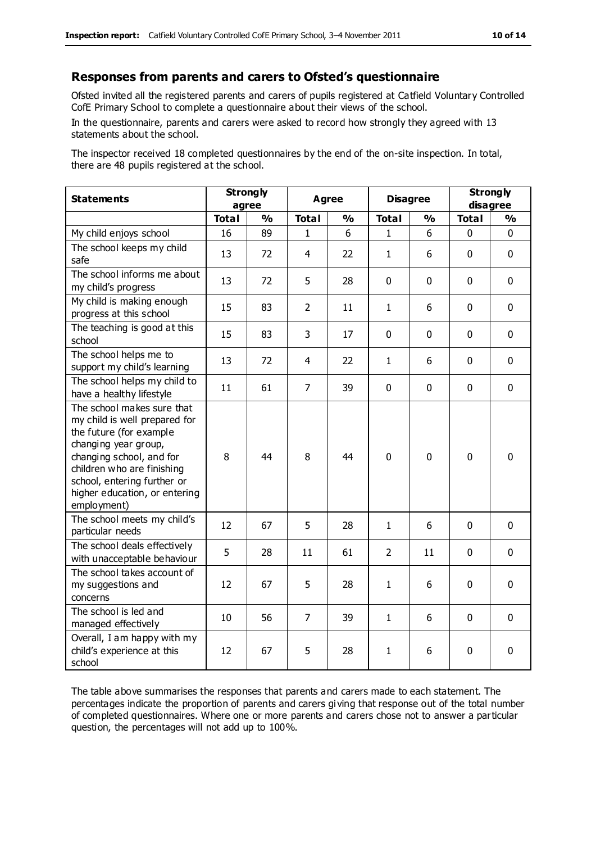#### **Responses from parents and carers to Ofsted's questionnaire**

Ofsted invited all the registered parents and carers of pupils registered at Catfield Voluntary Controlled CofE Primary School to complete a questionnaire about their views of the school.

In the questionnaire, parents and carers were asked to record how strongly they agreed with 13 statements about the school.

The inspector received 18 completed questionnaires by the end of the on-site inspection. In total, there are 48 pupils registered at the school.

| <b>Statements</b>                                                                                                                                                                                                                                       | <b>Strongly</b><br>agree |               | Agree          |               | <b>Disagree</b> |               | <b>Strongly</b><br>disagree |               |
|---------------------------------------------------------------------------------------------------------------------------------------------------------------------------------------------------------------------------------------------------------|--------------------------|---------------|----------------|---------------|-----------------|---------------|-----------------------------|---------------|
|                                                                                                                                                                                                                                                         | <b>Total</b>             | $\frac{1}{2}$ | <b>Total</b>   | $\frac{1}{2}$ | <b>Total</b>    | $\frac{1}{2}$ | <b>Total</b>                | $\frac{1}{2}$ |
| My child enjoys school                                                                                                                                                                                                                                  | 16                       | 89            | $\mathbf{1}$   | 6             | $\mathbf{1}$    | 6             | $\mathbf 0$                 | $\mathbf 0$   |
| The school keeps my child<br>safe                                                                                                                                                                                                                       | 13                       | 72            | $\overline{4}$ | 22            | $\mathbf{1}$    | 6             | $\mathbf 0$                 | $\mathbf 0$   |
| The school informs me about<br>my child's progress                                                                                                                                                                                                      | 13                       | 72            | 5              | 28            | $\mathbf 0$     | $\mathbf 0$   | $\mathbf 0$                 | $\mathbf 0$   |
| My child is making enough<br>progress at this school                                                                                                                                                                                                    | 15                       | 83            | $\overline{2}$ | 11            | $\mathbf{1}$    | 6             | $\mathbf 0$                 | $\mathbf 0$   |
| The teaching is good at this<br>school                                                                                                                                                                                                                  | 15                       | 83            | 3              | 17            | 0               | $\mathbf 0$   | $\mathbf 0$                 | $\mathbf 0$   |
| The school helps me to<br>support my child's learning                                                                                                                                                                                                   | 13                       | 72            | 4              | 22            | $\mathbf{1}$    | 6             | $\Omega$                    | $\mathbf 0$   |
| The school helps my child to<br>have a healthy lifestyle                                                                                                                                                                                                | 11                       | 61            | $\overline{7}$ | 39            | $\mathbf 0$     | $\mathbf 0$   | $\mathbf 0$                 | $\mathbf 0$   |
| The school makes sure that<br>my child is well prepared for<br>the future (for example<br>changing year group,<br>changing school, and for<br>children who are finishing<br>school, entering further or<br>higher education, or entering<br>employment) | 8                        | 44            | 8              | 44            | $\Omega$        | $\mathbf 0$   | $\mathbf{0}$                | 0             |
| The school meets my child's<br>particular needs                                                                                                                                                                                                         | 12                       | 67            | 5              | 28            | $\mathbf{1}$    | 6             | $\mathbf 0$                 | $\mathbf 0$   |
| The school deals effectively<br>with unacceptable behaviour                                                                                                                                                                                             | 5                        | 28            | 11             | 61            | $\overline{2}$  | 11            | $\mathbf 0$                 | $\mathbf 0$   |
| The school takes account of<br>my suggestions and<br>concerns                                                                                                                                                                                           | 12                       | 67            | 5              | 28            | $\mathbf{1}$    | 6             | $\mathbf 0$                 | $\mathbf 0$   |
| The school is led and<br>managed effectively                                                                                                                                                                                                            | 10                       | 56            | $\overline{7}$ | 39            | $\mathbf{1}$    | 6             | $\mathbf 0$                 | $\mathbf 0$   |
| Overall, I am happy with my<br>child's experience at this<br>school                                                                                                                                                                                     | 12                       | 67            | 5              | 28            | $\mathbf{1}$    | 6             | $\mathbf 0$                 | 0             |

The table above summarises the responses that parents and carers made to each statement. The percentages indicate the proportion of parents and carers gi ving that response out of the total number of completed questionnaires. Where one or more parents and carers chose not to answer a particular question, the percentages will not add up to 100%.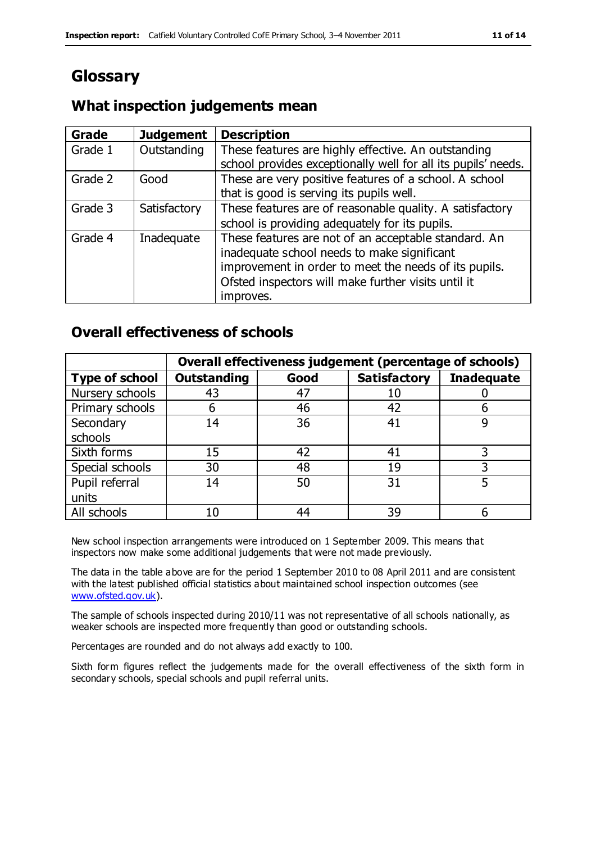## **Glossary**

#### **What inspection judgements mean**

| Grade   | <b>Judgement</b> | <b>Description</b>                                            |
|---------|------------------|---------------------------------------------------------------|
| Grade 1 | Outstanding      | These features are highly effective. An outstanding           |
|         |                  | school provides exceptionally well for all its pupils' needs. |
| Grade 2 | Good             | These are very positive features of a school. A school        |
|         |                  | that is good is serving its pupils well.                      |
| Grade 3 | Satisfactory     | These features are of reasonable quality. A satisfactory      |
|         |                  | school is providing adequately for its pupils.                |
| Grade 4 | Inadequate       | These features are not of an acceptable standard. An          |
|         |                  | inadequate school needs to make significant                   |
|         |                  | improvement in order to meet the needs of its pupils.         |
|         |                  | Ofsted inspectors will make further visits until it           |
|         |                  | improves.                                                     |

### **Overall effectiveness of schools**

|                       |                    |      | Overall effectiveness judgement (percentage of schools) |                   |
|-----------------------|--------------------|------|---------------------------------------------------------|-------------------|
| <b>Type of school</b> | <b>Outstanding</b> | Good | <b>Satisfactory</b>                                     | <b>Inadequate</b> |
| Nursery schools       | 43                 | 47   | 10                                                      |                   |
| Primary schools       | 6                  | 46   | 42                                                      |                   |
| Secondary             | 14                 | 36   | 41                                                      |                   |
| schools               |                    |      |                                                         |                   |
| Sixth forms           | 15                 | 42   | 41                                                      | 3                 |
| Special schools       | 30                 | 48   | 19                                                      |                   |
| Pupil referral        | 14                 | 50   | 31                                                      |                   |
| units                 |                    |      |                                                         |                   |
| All schools           | 10                 | 44   | 39                                                      |                   |

New school inspection arrangements were introduced on 1 September 2009. This means that inspectors now make some additional judgements that were not made previously.

The data in the table above are for the period 1 September 2010 to 08 April 2011 and are consistent with the latest published official statistics about maintained school inspection outcomes (see [www.ofsted.gov.uk\)](http://www.ofsted.gov.uk/).

The sample of schools inspected during 2010/11 was not representative of all schools nationally, as weaker schools are inspected more frequently than good or outstanding schools.

Percentages are rounded and do not always add exactly to 100.

Sixth form figures reflect the judgements made for the overall effectiveness of the sixth form in secondary schools, special schools and pupil referral units.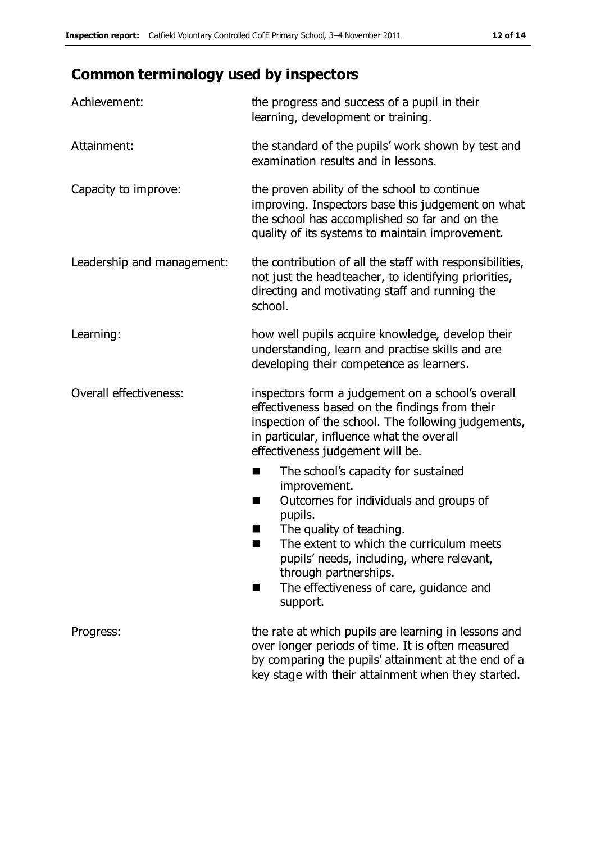## **Common terminology used by inspectors**

| Achievement:                  | the progress and success of a pupil in their<br>learning, development or training.                                                                                                                                                                                                                                           |
|-------------------------------|------------------------------------------------------------------------------------------------------------------------------------------------------------------------------------------------------------------------------------------------------------------------------------------------------------------------------|
| Attainment:                   | the standard of the pupils' work shown by test and<br>examination results and in lessons.                                                                                                                                                                                                                                    |
| Capacity to improve:          | the proven ability of the school to continue<br>improving. Inspectors base this judgement on what<br>the school has accomplished so far and on the<br>quality of its systems to maintain improvement.                                                                                                                        |
| Leadership and management:    | the contribution of all the staff with responsibilities,<br>not just the headteacher, to identifying priorities,<br>directing and motivating staff and running the<br>school.                                                                                                                                                |
| Learning:                     | how well pupils acquire knowledge, develop their<br>understanding, learn and practise skills and are<br>developing their competence as learners.                                                                                                                                                                             |
| <b>Overall effectiveness:</b> | inspectors form a judgement on a school's overall<br>effectiveness based on the findings from their<br>inspection of the school. The following judgements,<br>in particular, influence what the overall<br>effectiveness judgement will be.                                                                                  |
|                               | The school's capacity for sustained<br>×<br>improvement.<br>Outcomes for individuals and groups of<br>п<br>pupils.<br>The quality of teaching.<br>The extent to which the curriculum meets<br>pupils' needs, including, where relevant,<br>through partnerships.<br>The effectiveness of care, guidance and<br>■<br>support. |
| Progress:                     | the rate at which pupils are learning in lessons and<br>over longer periods of time. It is often measured<br>by comparing the pupils' attainment at the end of a<br>key stage with their attainment when they started.                                                                                                       |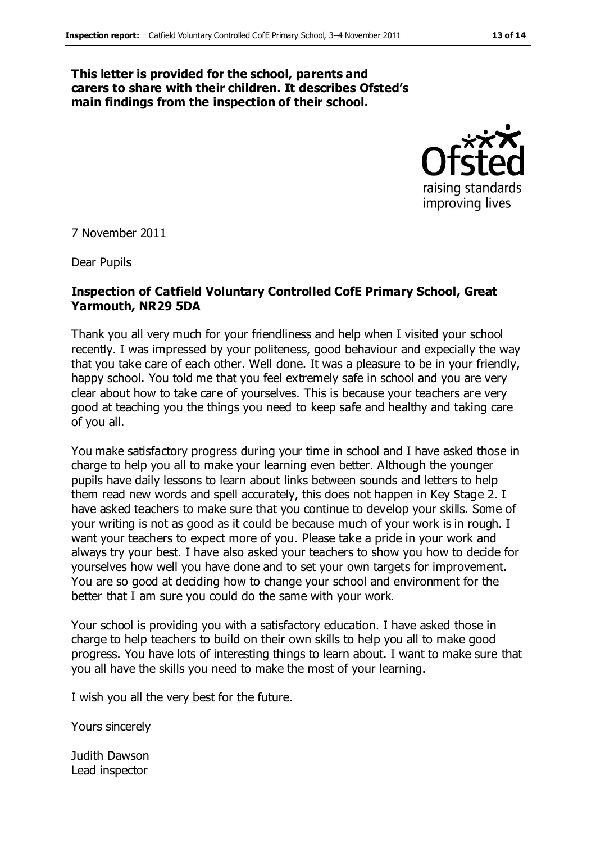#### **This letter is provided for the school, parents and carers to share with their children. It describes Ofsted's main findings from the inspection of their school.**



7 November 2011

Dear Pupils

#### **Inspection of Catfield Voluntary Controlled CofE Primary School, Great Yarmouth, NR29 5DA**

Thank you all very much for your friendliness and help when I visited your school recently. I was impressed by your politeness, good behaviour and expecially the way that you take care of each other. Well done. It was a pleasure to be in your friendly, happy school. You told me that you feel extremely safe in school and you are very clear about how to take care of yourselves. This is because your teachers are very good at teaching you the things you need to keep safe and healthy and taking care of you all.

You make satisfactory progress during your time in school and I have asked those in charge to help you all to make your learning even better. Although the younger pupils have daily lessons to learn about links between sounds and letters to help them read new words and spell accurately, this does not happen in Key Stage 2. I have asked teachers to make sure that you continue to develop your skills. Some of your writing is not as good as it could be because much of your work is in rough. I want your teachers to expect more of you. Please take a pride in your work and always try your best. I have also asked your teachers to show you how to decide for yourselves how well you have done and to set your own targets for improvement. You are so good at deciding how to change your school and environment for the better that I am sure you could do the same with your work.

Your school is providing you with a satisfactory education. I have asked those in charge to help teachers to build on their own skills to help you all to make good progress. You have lots of interesting things to learn about. I want to make sure that you all have the skills you need to make the most of your learning.

I wish you all the very best for the future.

Yours sincerely

Judith Dawson Lead inspector